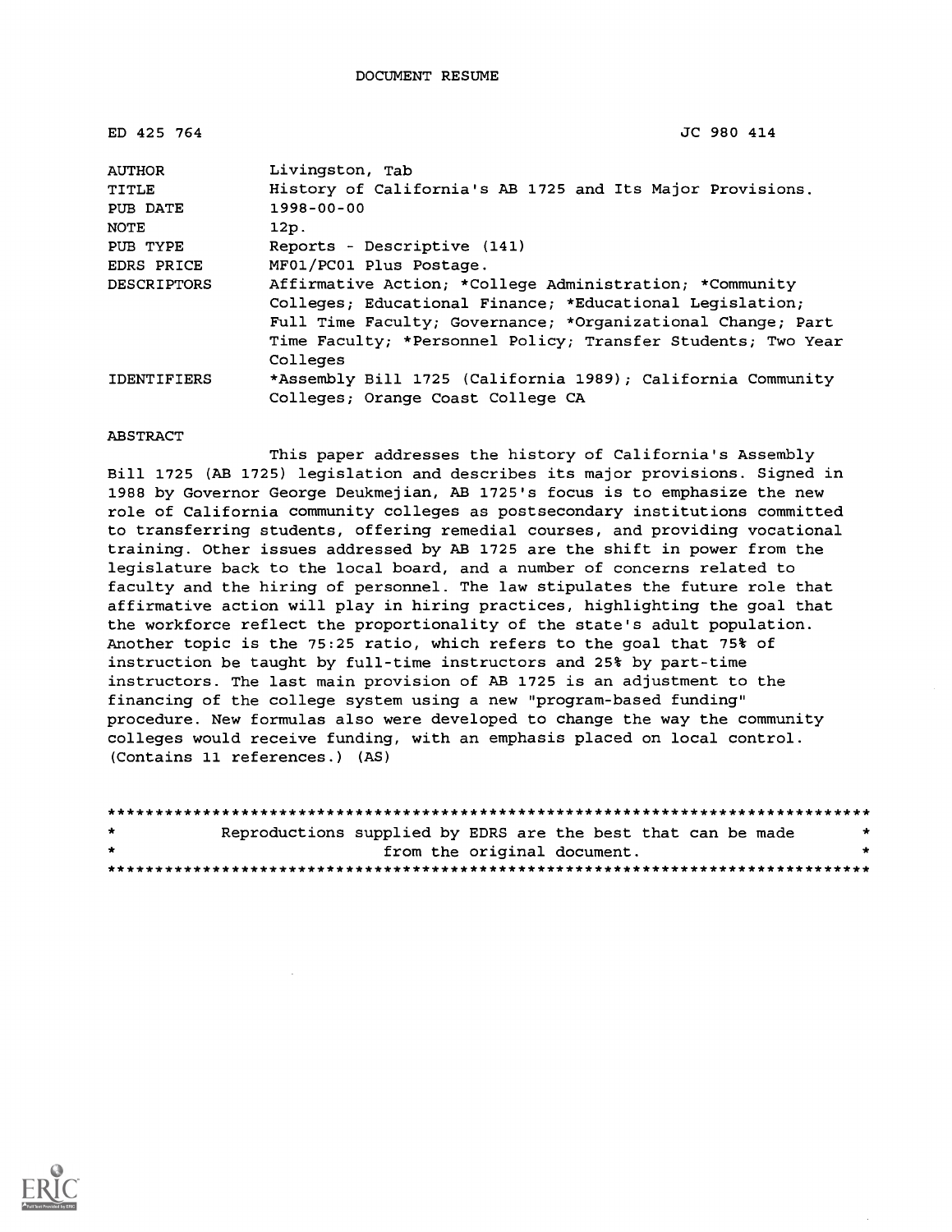| ED 425 764         | JC 980 414                                                   |
|--------------------|--------------------------------------------------------------|
| <b>AUTHOR</b>      | Livingston, Tab                                              |
| <b>TITLE</b>       | History of California's AB 1725 and Its Major Provisions.    |
| PUB DATE           | $1998 - 00 - 00$                                             |
| NOTE               | 12p.                                                         |
| PUB TYPE           | Reports - Descriptive (141)                                  |
| EDRS PRICE         | MF01/PC01 Plus Postage.                                      |
| <b>DESCRIPTORS</b> | Affirmative Action; *College Administration; *Community      |
|                    | Colleges; Educational Finance; *Educational Legislation;     |
|                    | Full Time Faculty; Governance; *Organizational Change; Part  |
|                    | Time Faculty; *Personnel Policy; Transfer Students; Two Year |
|                    | Colleges                                                     |
| <b>IDENTIFIERS</b> | *Assembly Bill 1725 (California 1989); California Community  |
|                    | Colleges; Orange Coast College CA                            |

#### ABSTRACT

This paper addresses the history of California's Assembly Bill 1725 (AB 1725) legislation and describes its major provisions. Signed in 1988 by Governor George Deukmejian, AB 1725's focus is to emphasize the new role of California community colleges as postsecondary institutions committed to transferring students, offering remedial courses, and providing vocational training. Other issues addressed by AB 1725 are the shift in power from the legislature back to the local board, and a number of concerns related to faculty and the hiring of personnel. The law stipulates the future role that affirmative action will play in hiring practices, highlighting the goal that the workforce reflect the proportionality of the state's adult population. Another topic is the 75:25 ratio, which refers to the goal that 75% of instruction be taught by full-time instructors and 25% by part-time instructors. The last main provision of AB 1725 is an adjustment to the financing of the college system using a new "program-based funding" procedure. New formulas also were developed to change the way the community colleges would receive funding, with an emphasis placed on local control. (Contains 11 references.) (AS)

| $\star$ | Reproductions supplied by EDRS are the best that can be made | $\star$ |  |  |  |  |  |  |
|---------|--------------------------------------------------------------|---------|--|--|--|--|--|--|
| $\star$ | from the original document.                                  |         |  |  |  |  |  |  |
|         |                                                              |         |  |  |  |  |  |  |

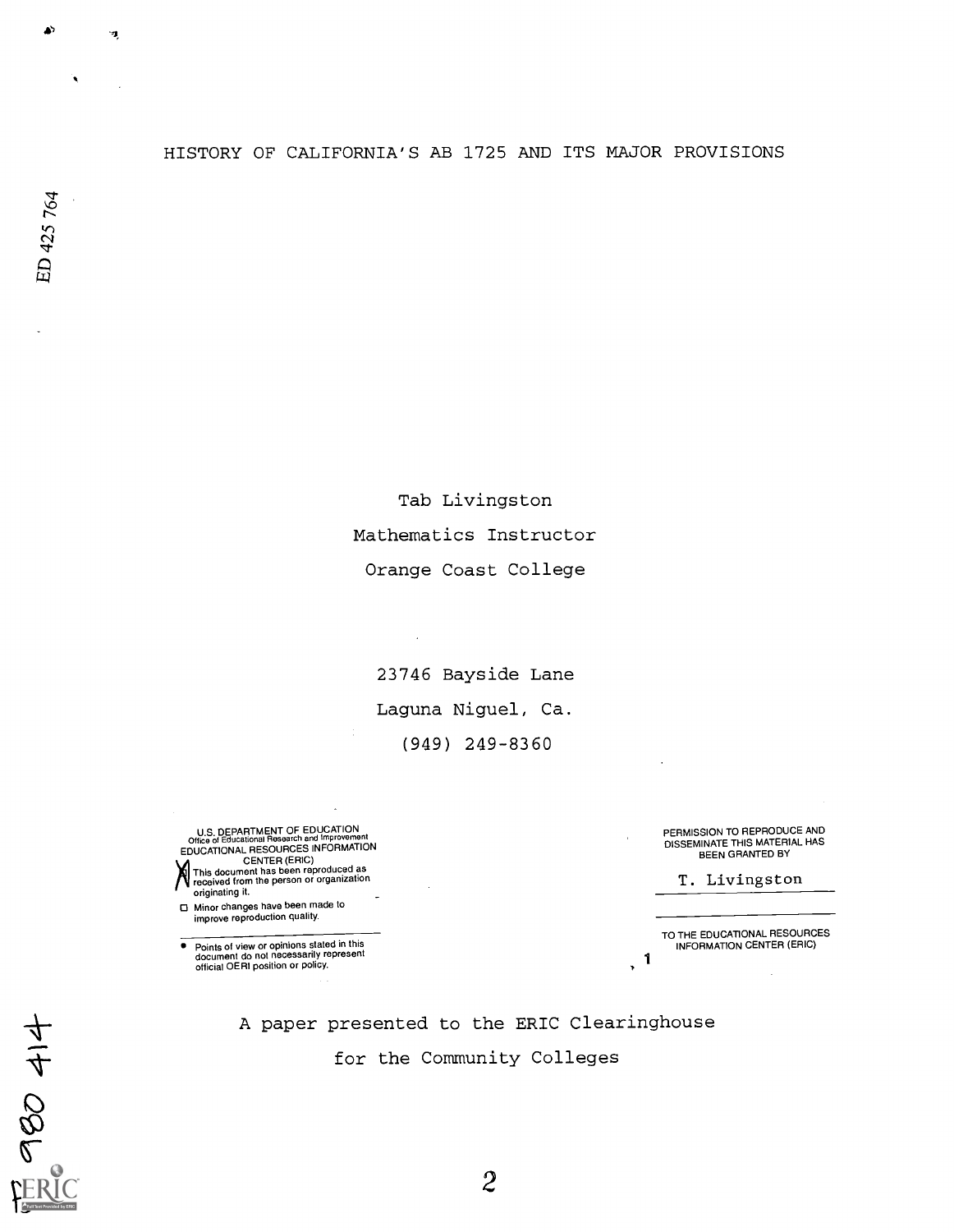## HISTORY OF CALIFORNIA'S AB 1725 AND ITS MAJOR PROVISIONS

Tab Livingston Mathematics Instructor Orange Coast College

23746 Bayside Lane Laguna Niguel, Ca. (949) 249-8360

U.S. DEPARTMENT OF EDUCATIONAL RESOURCES INFORMATION<br>
COME of Educational Research and Improvement<br>
EDUCATIONAL RESOURCES INFORMATION<br>
This document has been reproduced as<br>
received from the person or organization<br>
origina

0 Minor changes have been made to improve reproduction quality.

 $\bullet$ )

ED 425 764

980 414

Ä

 $\mathbf{r}$ 

 $\ddot{\phantom{1}}$ Points of view or opinions stated in this document do not necessarily represent official OER1 position or policy. PERMISSION TO REPRODUCE AND DISSEMINATE THIS MATERIAL HAS BEEN GRANTED BY

T. Livingston

TO THE EDUCATIONAL RESOURCES INFORMATION CENTER (ERIC)

 $\mathbf{1}$  $\ddot{\phantom{1}}$ 

A paper presented to the ERIC Clearinghouse for the Community Colleges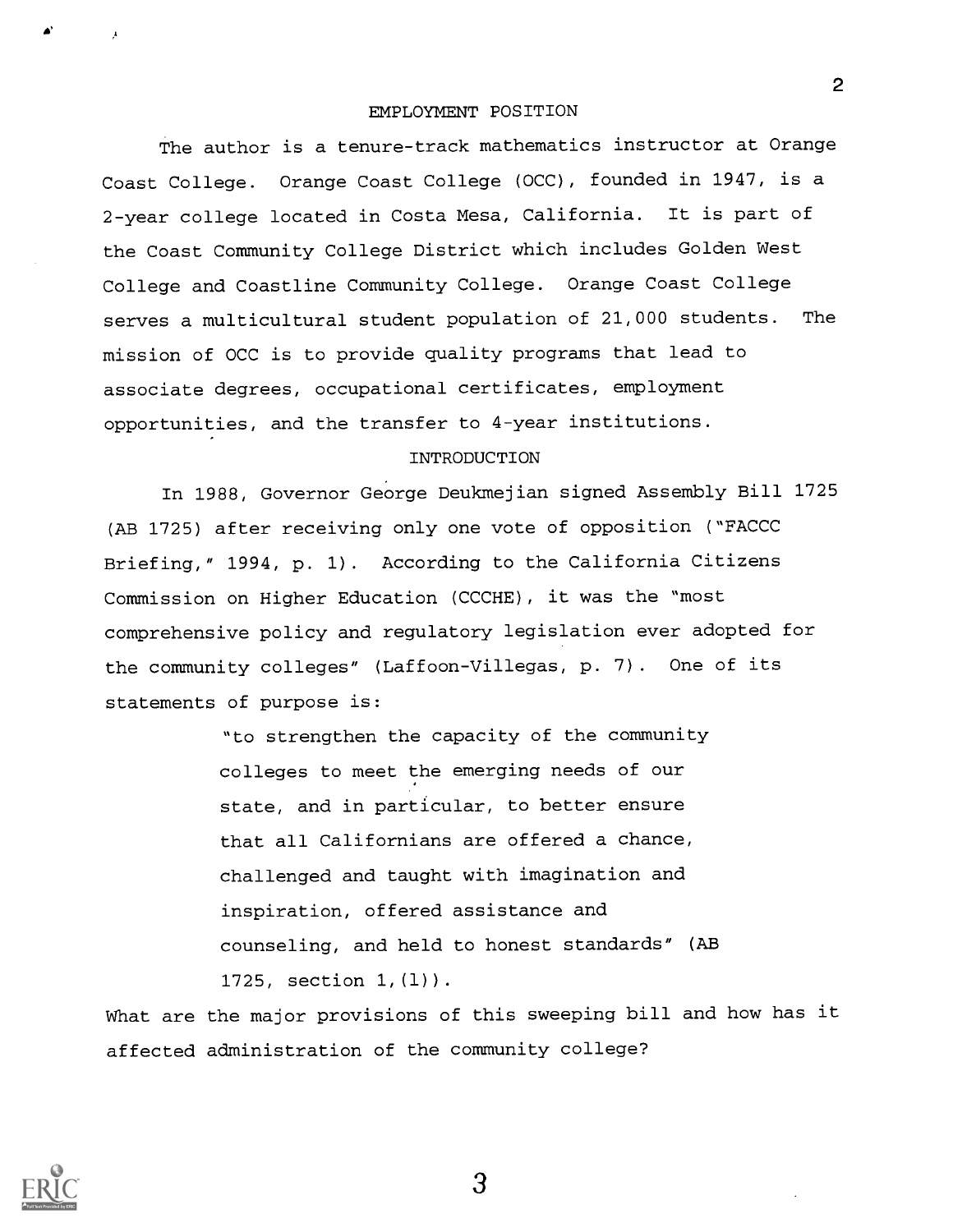#### EMPLOYMENT POSITION

The author is a tenure-track mathematics instructor at Orange Coast College. Orange Coast College (OCC), founded in 1947, is a 2-year college located in Costa Mesa, California. It is part of the Coast Community College District which includes Golden West College and Coastline Community College. Orange Coast College serves a multicultural student population of 21,000 students. The mission of OCC is to provide quality programs that lead to associate degrees, occupational certificates, employment opportunities, and the transfer to 4-year institutions.

### INTRODUCTION

In 1988, Governor George Deukmejian signed Assembly Bill 1725 (AB 1725) after receiving only one vote of opposition ("FACCC Briefing," 1994, p. 1). According to the California Citizens Commission on Higher Education (CCCHE), it was the "most comprehensive policy and regulatory legislation ever adopted for the community colleges" (Laffoon-Villegas, p. 7) . One of its statements of purpose is:

> "to strengthen the capacity of the community colleges to meet the emerging needs of our state, and in particular, to better ensure that all Californians are offered a chance, challenged and taught with imagination and inspiration, offered assistance and counseling, and held to honest standards" (AB 1725, section 1,(1)).

What are the major provisions of this sweeping bill and how has it affected administration of the community college?



die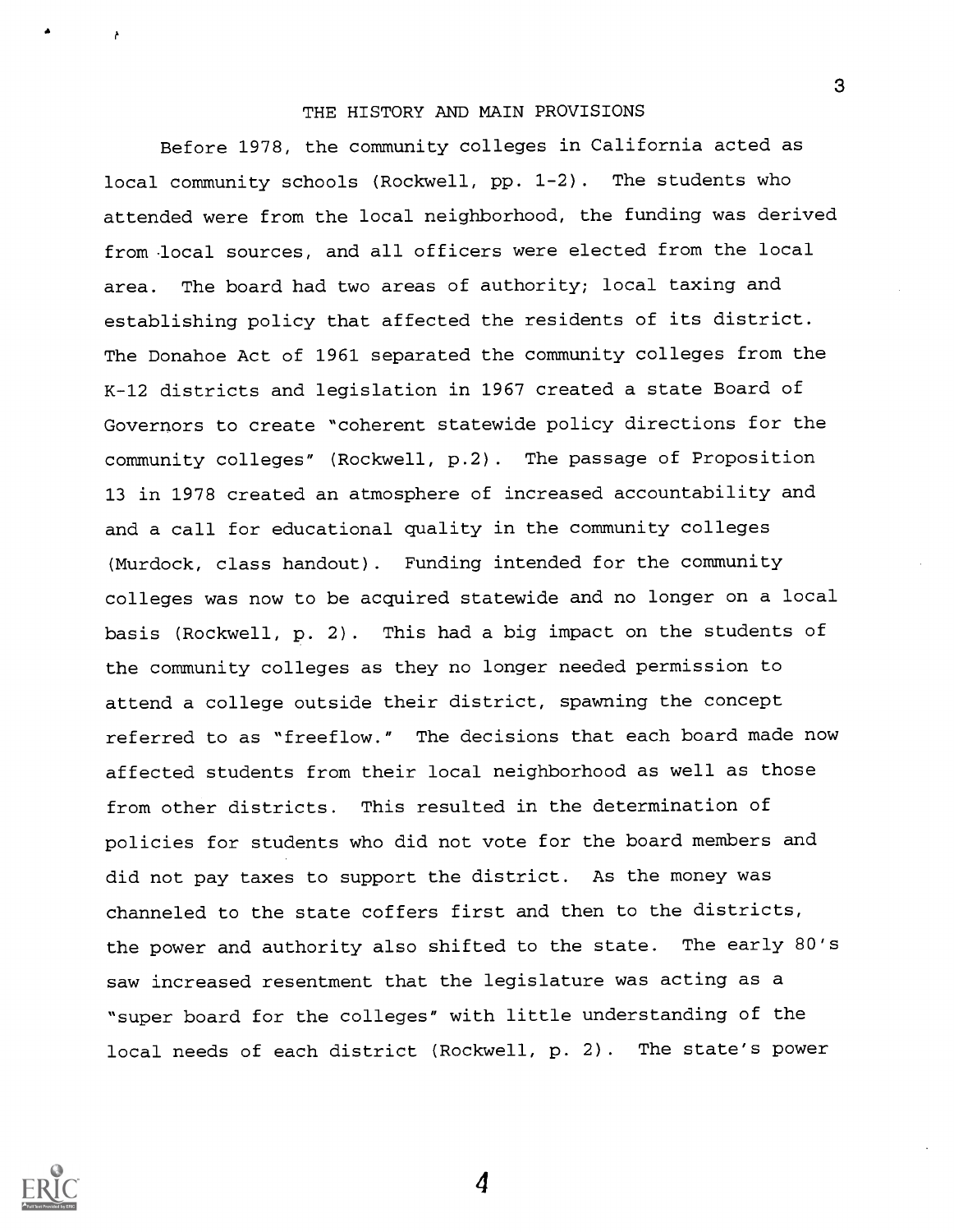### THE HISTORY AND MAIN PROVISIONS

Before 1978, the community colleges in California acted as local community schools (Rockwell, pp. 1-2). The students who attended were from the local neighborhood, the funding was derived from local sources, and all officers were elected from the local area. The board had two areas of authority; local taxing and establishing policy that affected the residents of its district. The Donahoe Act of 1961 separated the community colleges from the K-12 districts and legislation in 1967 created a state Board of Governors to create "coherent statewide policy directions for the community colleges" (Rockwell, p.2) . The passage of Proposition 13 in 1978 created an atmosphere of increased accountability and and a call for educational quality in the community colleges (Murdock, class handout). Funding intended for the community colleges was now to be acquired statewide and no longer on a local basis (Rockwell, p. 2). This had a big impact on the students of the community colleges as they no longer needed permission to attend a college outside their district, spawning the concept referred to as "freeflow." The decisions that each board made now affected students from their local neighborhood as well as those from other districts. This resulted in the determination of policies for students who did not vote for the board members and did not pay taxes to support the district. As the money was channeled to the state coffers first and then to the districts, the power and authority also shifted to the state. The early 80's saw increased resentment that the legislature was acting as a "super board for the colleges" with little understanding of the local needs of each district (Rockwell, p. 2) . The state's power



4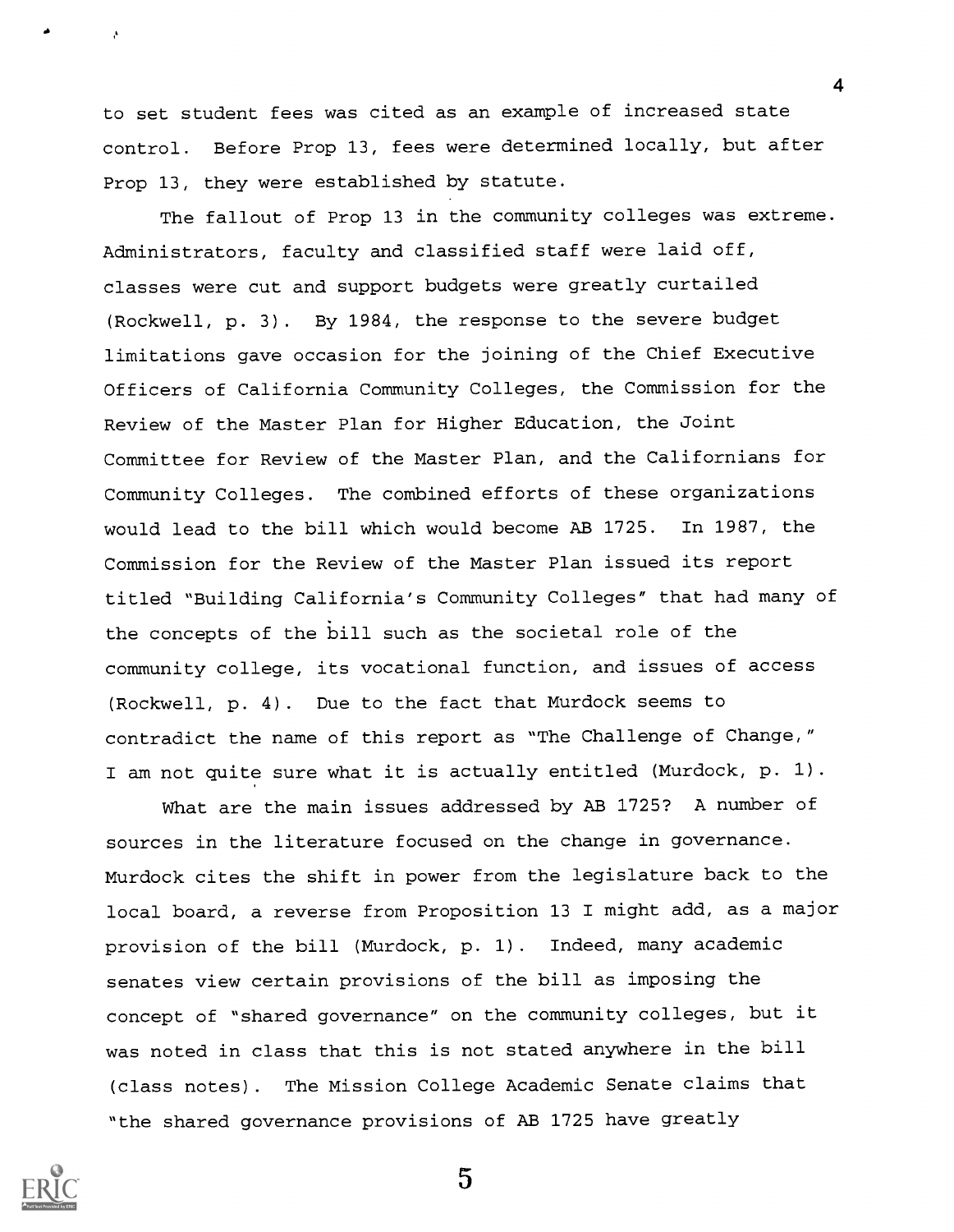to set student fees was cited as an example of increased state control. Before Prop 13, fees were determined locally, but after Prop 13, they were established by statute.

4

The fallout of Prop 13 in the community colleges was extreme. Administrators, faculty and classified staff were laid off, classes were cut and support budgets were greatly curtailed (Rockwell, p. 3). By 1984, the response to the severe budget limitations gave occasion for the joining of the Chief Executive Officers of California Community Colleges, the Commission for the Review of the Master Plan for Higher Education, the Joint Committee for Review of the Master Plan, and the Californians for Community Colleges. The combined efforts of these organizations would lead to the bill which would become AB 1725. In 1987, the Commission for the Review of the Master Plan issued its report titled "Building California's Community Colleges" that had many of the concepts of the bill such as the societal role of the community college, its vocational function, and issues of access (Rockwell, p. 4). Due to the fact that Murdock seems to contradict the name of this report as "The Challenge of Change," I am not quite sure what it is actually entitled (Murdock, p. 1).

What are the main issues addressed by AB 1725? A number of sources in the literature focused on the change in governance. Murdock cites the shift in power from the legislature back to the local board, a reverse from Proposition 13 I might add, as a major provision of the bill (Murdock, p. 1). Indeed, many academic senates view certain provisions of the bill as imposing the concept of "shared governance" on the community colleges, but it was noted in class that this is not stated anywhere in the bill (class notes). The Mission College Academic Senate claims that "the shared governance provisions of AB 1725 have greatly

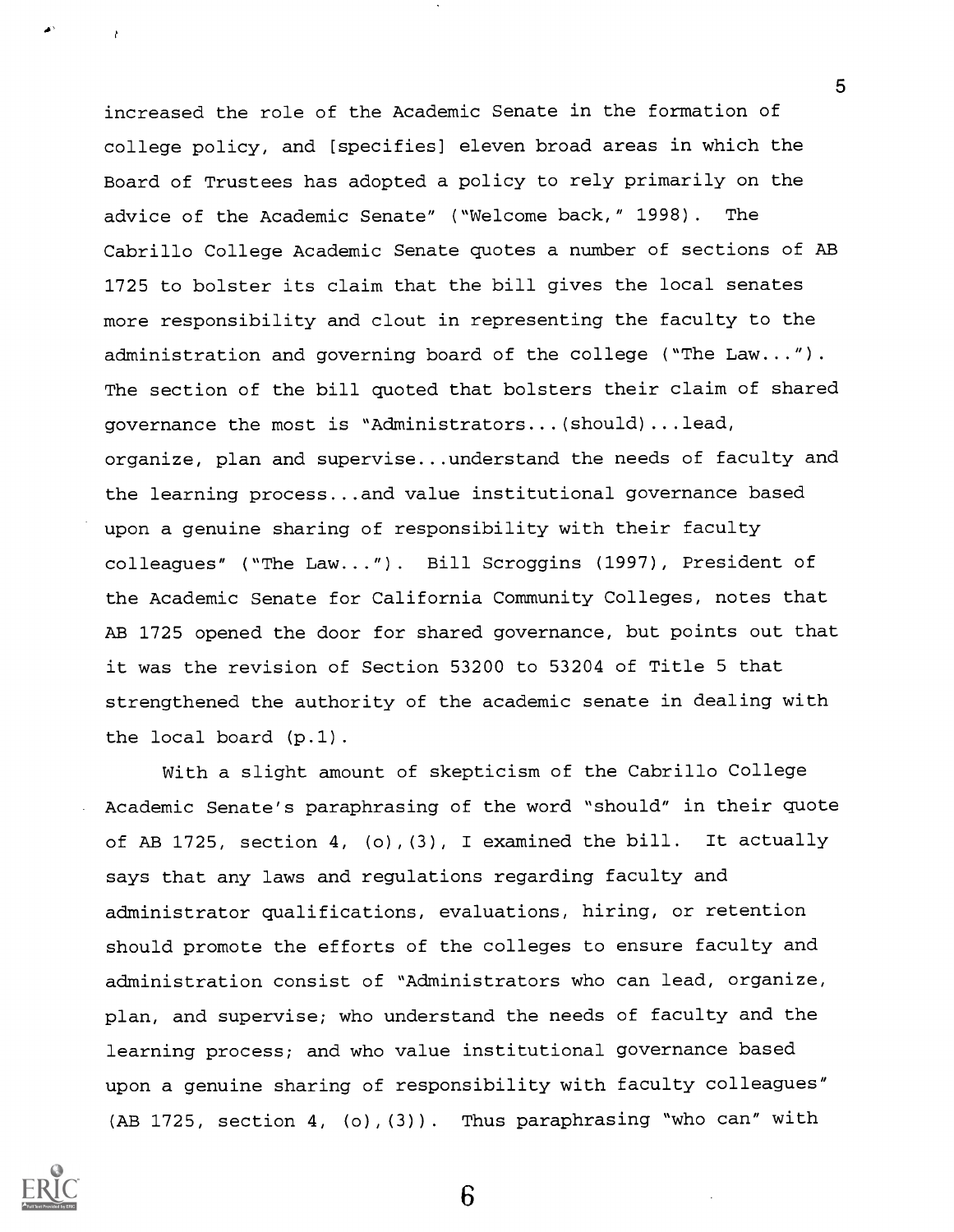increased the role of the Academic Senate in the formation of college policy, and [specifies] eleven broad areas in which the Board of Trustees has adopted a policy to rely primarily on the advice of the Academic Senate" ("Welcome back," 1998). The Cabrillo College Academic Senate quotes a number of sections of AB 1725 to bolster its claim that the bill gives the local senates more responsibility and clout in representing the faculty to the administration and governing board of the college ("The Law..."). The section of the bill quoted that bolsters their claim of shared governance the most is "Administrators...(should)...lead, organize, plan and supervise...understand the needs of faculty and the learning process...and value institutional governance based upon a genuine sharing of responsibility with their faculty colleagues" ("The Law...") . Bill Scroggins (1997), President of the Academic Senate for California Community Colleges, notes that AB 1725 opened the door for shared governance, but points out that it was the revision of Section 53200 to 53204 of Title 5 that strengthened the authority of the academic senate in dealing with the local board (p.1).

With a slight amount of skepticism of the Cabrillo College Academic Senate's paraphrasing of the word "should" in their quote of AB 1725, section 4, (o),(3), I examined the bill. It actually says that any laws and regulations regarding faculty and administrator qualifications, evaluations, hiring, or retention should promote the efforts of the colleges to ensure faculty and administration consist of "Administrators who can lead, organize, plan, and supervise; who understand the needs of faculty and the learning process; and who value institutional governance based upon a genuine sharing of responsibility with faculty colleagues" (AB 1725, section 4, (o),(3)). Thus paraphrasing "who can" with



5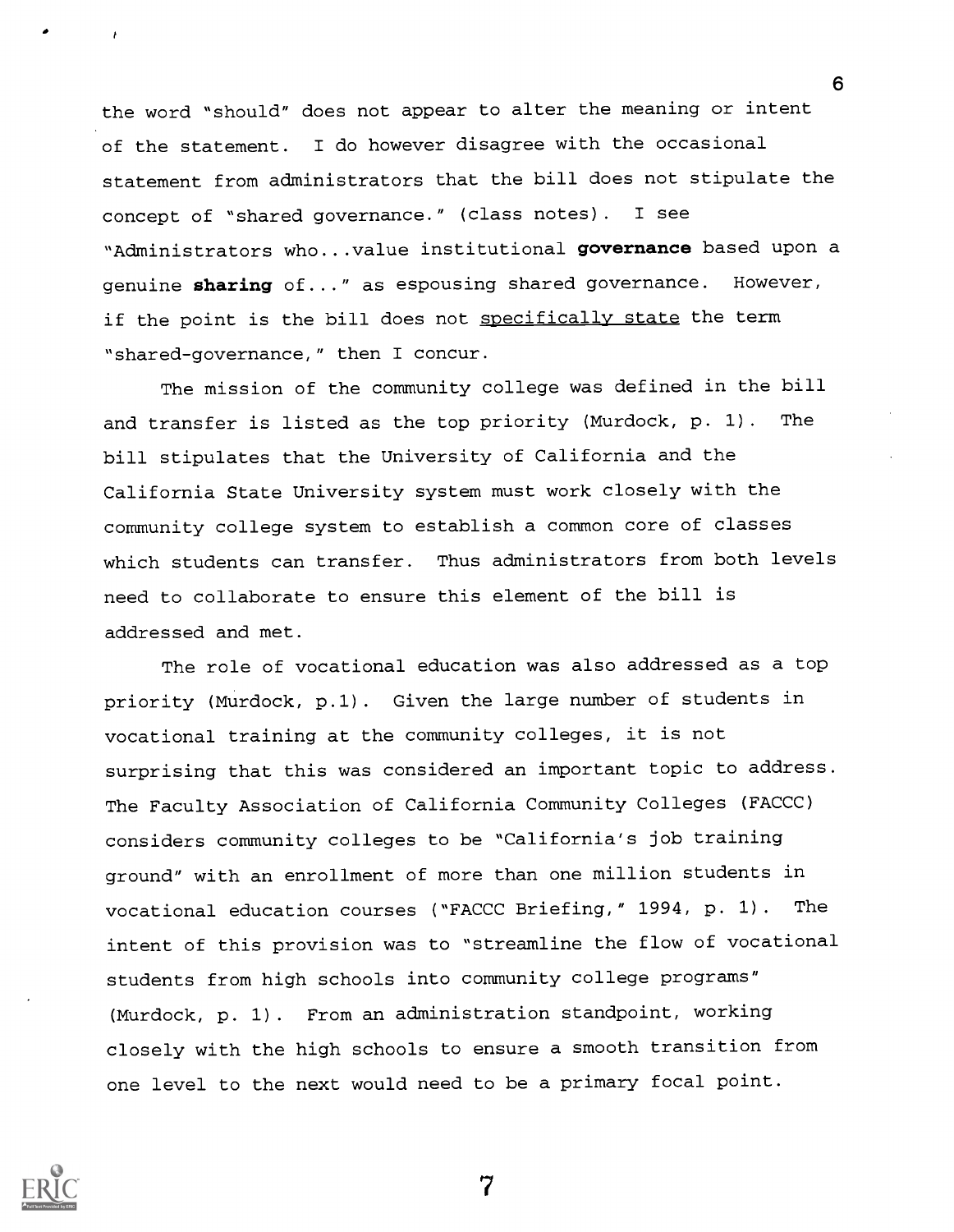the word "should" does not appear to alter the meaning or intent of the statement. I do however disagree with the occasional statement from administrators that the bill does not stipulate the concept of "shared governance." (class notes). I see "Administrators who...value institutional governance based upon a genuine sharing of..." as espousing shared governance. However, if the point is the bill does not specifically state the term "shared-governance," then I concur.

6

The mission of the community college was defined in the bill and transfer is listed as the top priority (Murdock, p. 1). The bill stipulates that the University of California and the California State University system must work closely with the community college system to establish a common core of classes which students can transfer. Thus administrators from both levels need to collaborate to ensure this element of the bill is addressed and met.

The role of vocational education was also addressed as a top priority (Murdock, p.1). Given the large number of students in vocational training at the community colleges, it is not surprising that this was considered an important topic to address. The Faculty Association of California Community Colleges (FACCC) considers community colleges to be "California's job training ground" with an enrollment of more than one million students in vocational education courses ("FACCC Briefing," 1994, p. 1). The intent of this provision was to "streamline the flow of vocational students from high schools into community college programs" (Murdock, p. 1). From an administration standpoint, working closely with the high schools to ensure a smooth transition from one level to the next would need to be a primary focal point.

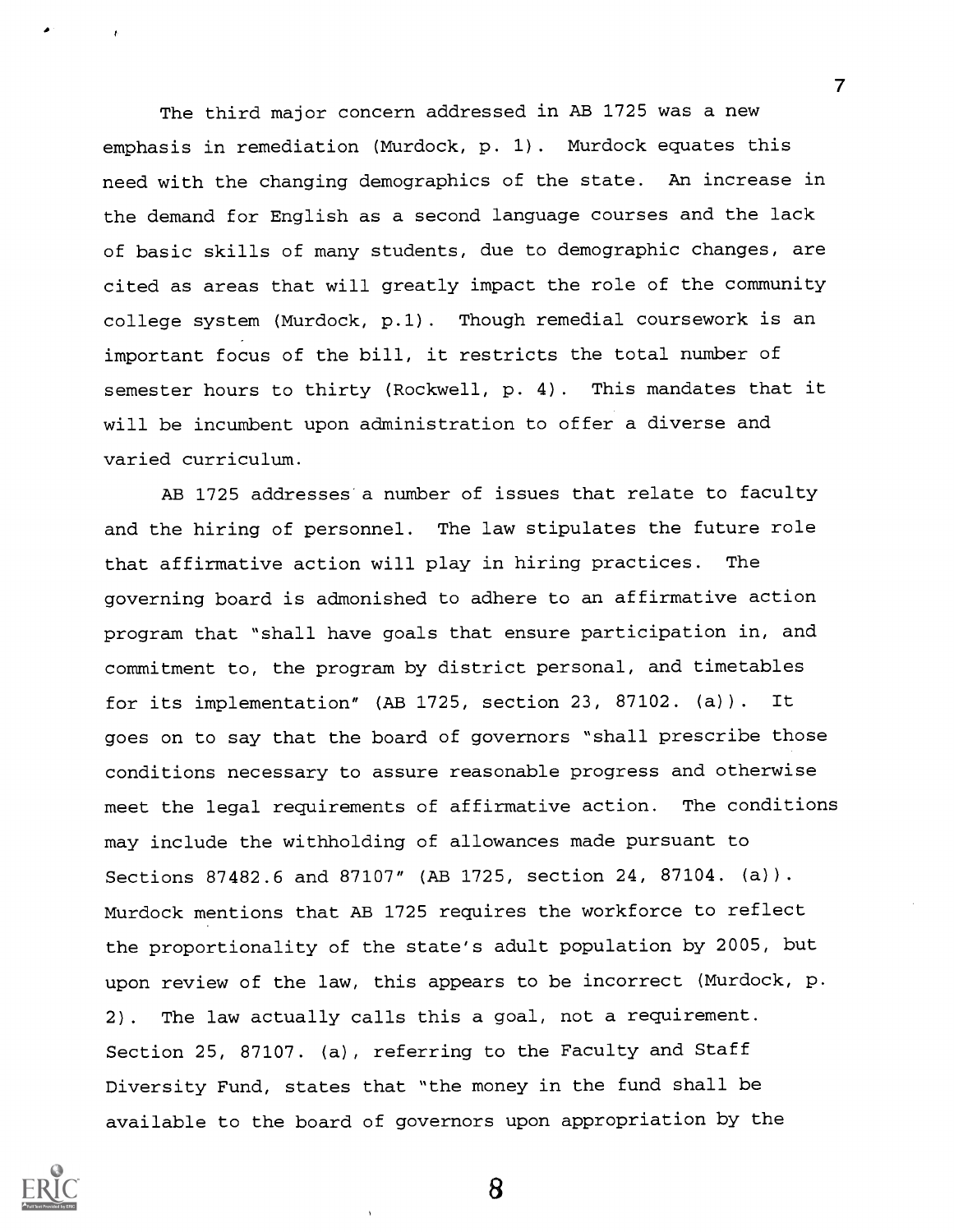The third major concern addressed in AB 1725 was a new emphasis in remediation (Murdock, p. 1). Murdock equates this need with the changing demographics of the state. An increase in the demand for English as a second language courses and the lack of basic skills of many students, due to demographic changes, are cited as areas that will greatly impact the role of the community college system (Murdock, p.1) . Though remedial coursework is an important focus of the bill, it restricts the total number of semester hours to thirty (Rockwell, p. 4). This mandates that it will be incumbent upon administration to offer a diverse and varied curriculum.

 $\overline{7}$ 

AB 1725 addresses a number of issues that relate to faculty and the hiring of personnel. The law stipulates the future role that affirmative action will play in hiring practices. The governing board is admonished to adhere to an affirmative action program that "shall have goals that ensure participation in, and commitment to, the program by district personal, and timetables for its implementation" (AB 1725, section 23, 87102. (a)) . It goes on to say that the board of governors "shall prescribe those conditions necessary to assure reasonable progress and otherwise meet the legal requirements of affirmative action. The conditions may include the withholding of allowances made pursuant to Sections 87482.6 and 87107" (AB 1725, section 24, 87104. (a)). Murdock mentions that AB 1725 requires the workforce to reflect the proportionality of the state's adult population by 2005, but upon review of the law, this appears to be incorrect (Murdock, p. 2). The law actually calls this a goal, not a requirement. Section 25, 87107. (a), referring to the Faculty and Staff Diversity Fund, states that "the money in the fund shall be available to the board of governors upon appropriation by the

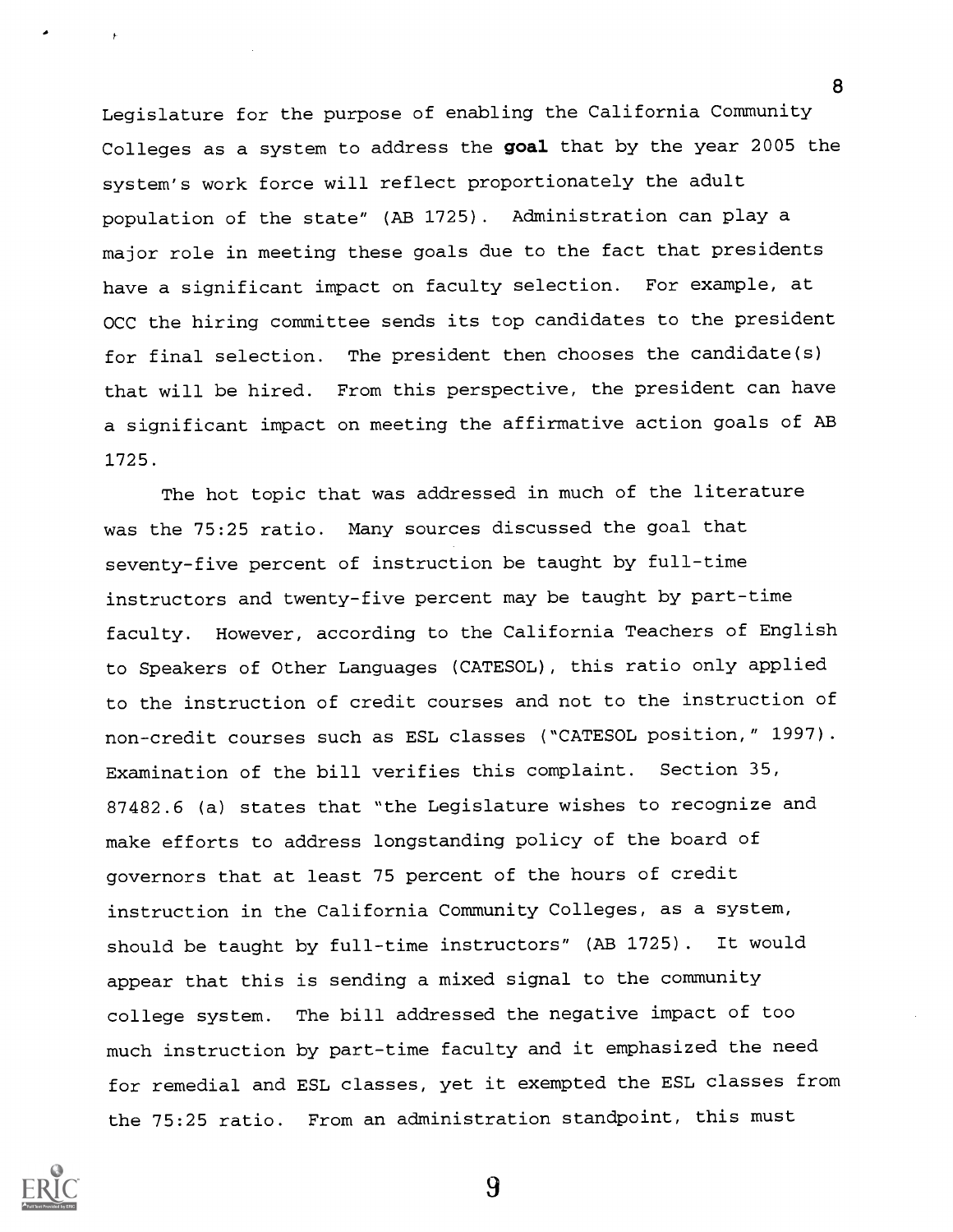Legislature for the purpose of enabling the California Community Colleges as a system to address the goal that by the year 2005 the system's work force will reflect proportionately the adult population of the state" (AB 1725). Administration can play a major role in meeting these goals due to the fact that presidents have a significant impact on faculty selection. For example, at OCC the hiring committee sends its top candidates to the president for final selection. The president then chooses the candidate(s) that will be hired. From this perspective, the president can have a significant impact on meeting the affirmative action goals of AB 1725.

The hot topic that was addressed in much of the literature was the 75:25 ratio. Many sources discussed the goal that seventy-five percent of instruction be taught by full-time instructors and twenty-five percent may be taught by part-time faculty. However, according to the California Teachers of English to Speakers of Other Languages (CATESOL), this ratio only applied to the instruction of credit courses and not to the instruction of non-credit courses such as ESL classes ("CATESOL position," 1997). Examination of the bill verifies this complaint. Section 35, 87482.6 (a) states that "the Legislature wishes to recognize and make efforts to address longstanding policy of the board of governors that at least 75 percent of the hours of credit instruction in the California Community Colleges, as a system, should be taught by full-time instructors" (AB 1725) . It would appear that this is sending a mixed signal to the community college system. The bill addressed the negative impact of too much instruction by part-time faculty and it emphasized the need for remedial and ESL classes, yet it exempted the ESL classes from the 75:25 ratio. From an administration standpoint, this must

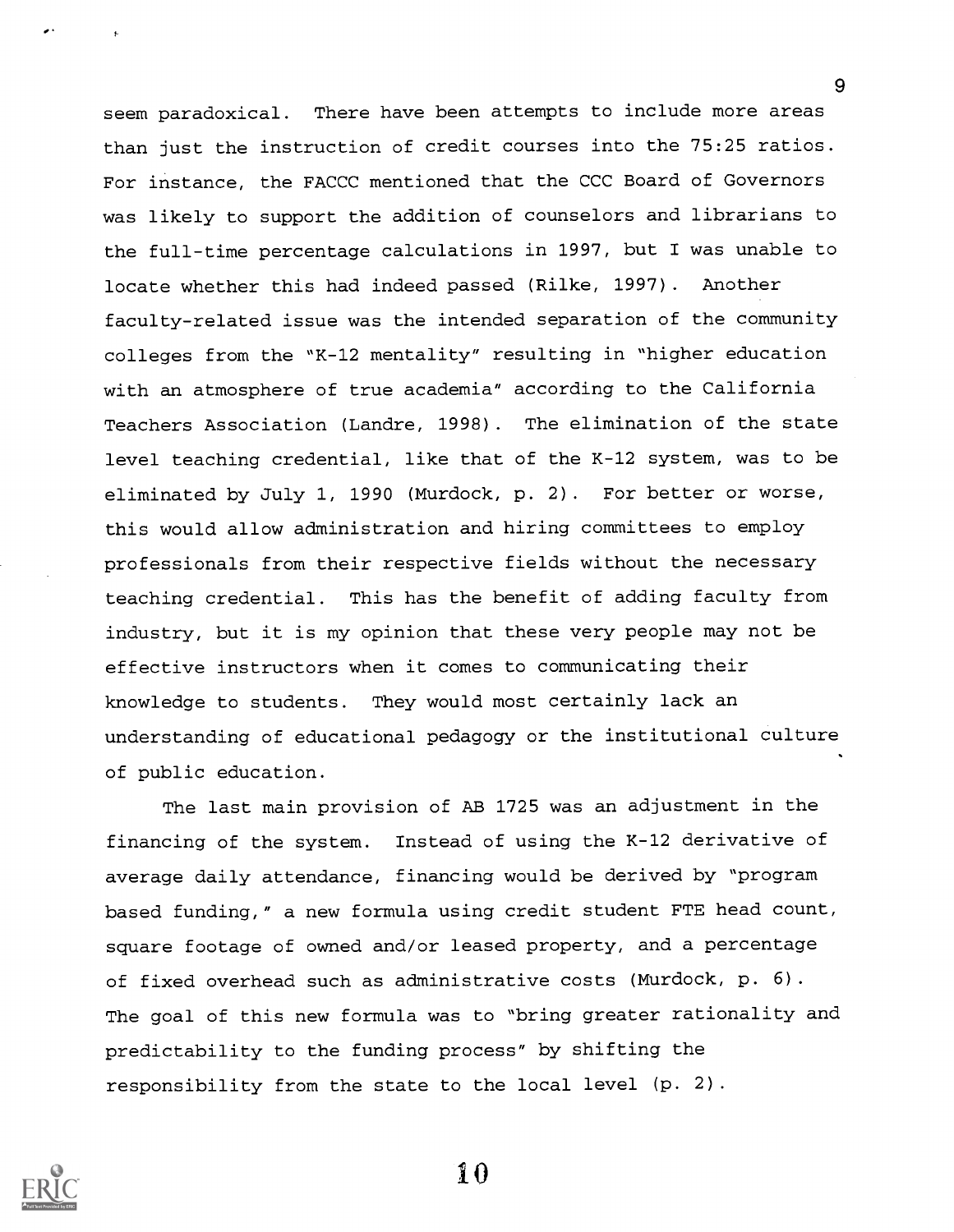seem paradoxical. There have been attempts to include more areas than just the instruction of credit courses into the 75:25 ratios. For instance, the FACCC mentioned that the CCC Board of Governors was likely to support the addition of counselors and librarians to the full-time percentage calculations in 1997, but I was unable to locate whether this had indeed passed (Rilke, 1997). Another faculty-related issue was the intended separation of the community colleges from the "K-12 mentality" resulting in "higher education with an atmosphere of true academia" according to the California Teachers Association (Landre, 1998) . The elimination of the state level teaching credential, like that of the K-12 system, was to be eliminated by July 1, 1990 (Murdock, p. 2). For better or worse, this would allow administration and hiring committees to employ professionals from their respective fields without the necessary teaching credential. This has the benefit of adding faculty from industry, but it is my opinion that these very people may not be effective instructors when it comes to communicating their knowledge to students. They would most certainly lack an understanding of educational pedagogy or the institutional culture of public education.

The last main provision of AB 1725 was an adjustment in the financing of the system. Instead of using the K-12 derivative of average daily attendance, financing would be derived by "program based funding," a new formula using credit student FTE head count, square footage of owned and/or leased property, and a percentage of fixed overhead such as administrative costs (Murdock, p. 6). The goal of this new formula was to "bring greater rationality and predictability to the funding process" by shifting the responsibility from the state to the local level (p. 2).



1 0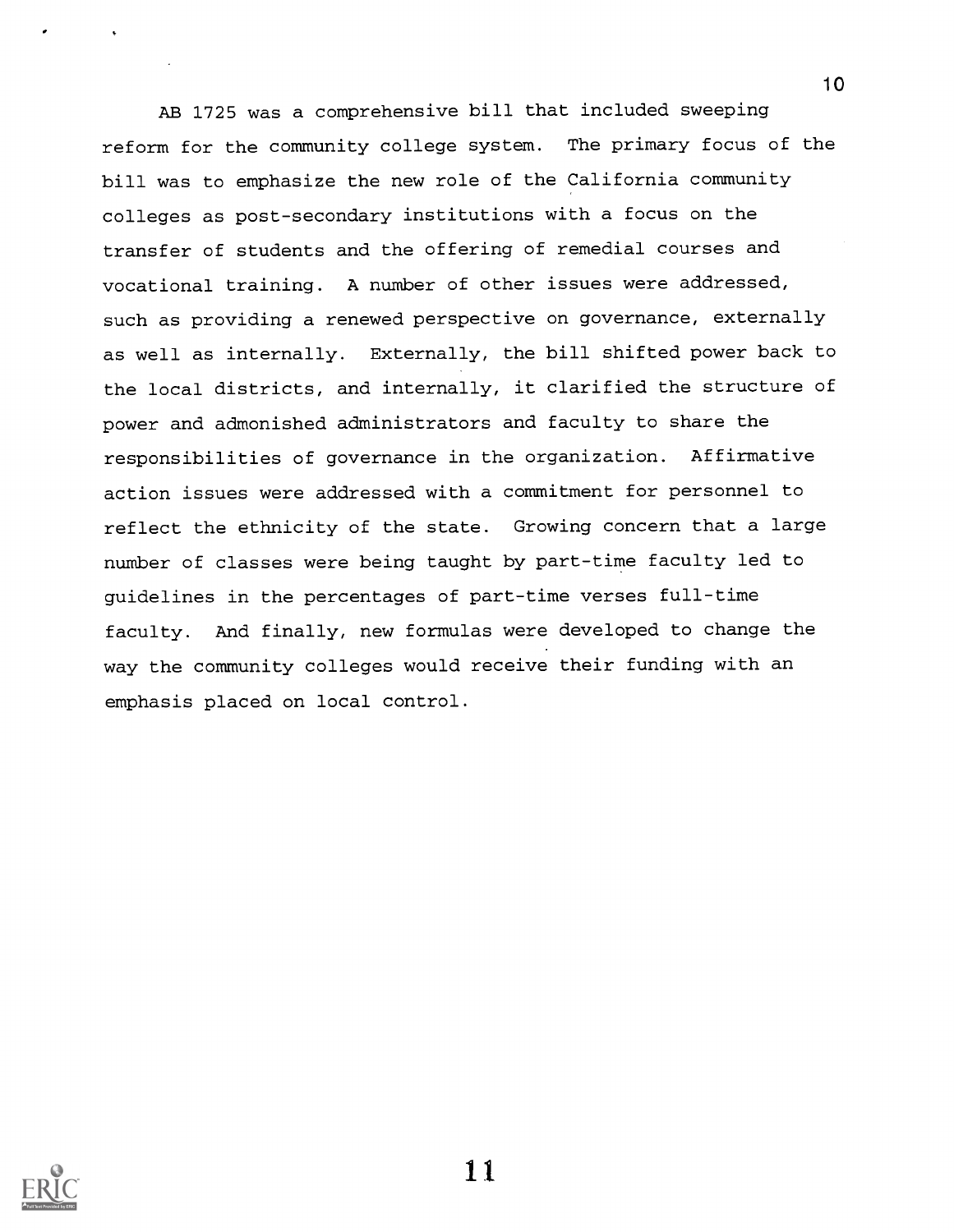AB 1725 was a comprehensive bill that included sweeping reform for the community college system. The primary focus of the bill was to emphasize the new role of the California community colleges as post-secondary institutions with a focus on the transfer of students and the offering of remedial courses and vocational training. A number of other issues were addressed, such as providing a renewed perspective on governance, externally as well as internally. Externally, the bill shifted power back to the local districts, and internally, it clarified the structure of power and admonished administrators and faculty to share the responsibilities of governance in the organization. Affirmative action issues were addressed with a commitment for personnel to reflect the ethnicity of the state. Growing concern that a large number of classes were being taught by part-time faculty led to guidelines in the percentages of part-time verses full-time faculty. And finally, new formulas were developed to change the way the community colleges would receive their funding with an emphasis placed on local control.

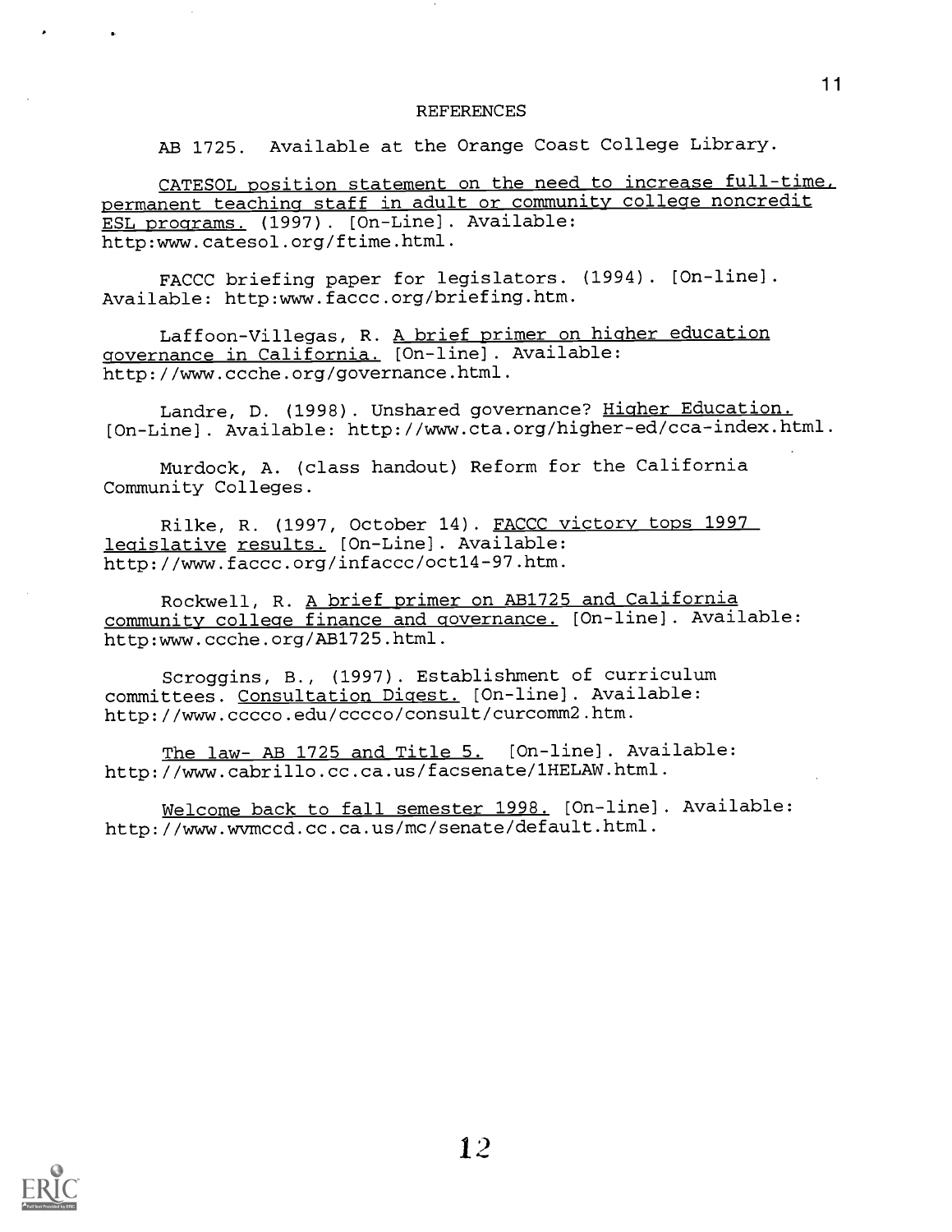#### REFERENCES

AB 1725. Available at the Orange Coast College Library.

CATESOL position statement on the need to increase full-time, permanent teaching staff in adult or community college noncredit ESL programs. (1997). [On-Line]. Available: http:www.catesol.org/ftime.html.

FACCC briefing paper for legislators. (1994). [On-line]. Available: http:www.faccc.org/briefing.htm.

Laffoon-Villegas, R. A brief primer on higher education governance in California. [On-line]. Available: http://www.ccche.org/governance.html.

Landre, D. (1998). Unshared governance? Higher Education. [On-Line]. Available: http://www.cta.org/higher-ed/cca-index.html.

Murdock, A. (class handout) Reform for the California Community Colleges.

Rilke, R. (1997, October 14). FACCC victory tops 1997 legislative results. [On-Line]. Available: http://www.faccc.org/infaccc/oct14-97.htm.

Rockwell, R. A brief primer on AB1725 and California community college finance and governance. [On-line]. Available: http:www.ccche.org/AB1725.html.

Scroggins, B., (1997). Establishment of curriculum committees. Consultation Digest. [On-line] . Available: http://www.cccco.edu/cccco/consult/curcomm2.htm.

The law- AB 1725 and Title 5. [On-line]. Available: http://www.cabrillo.cc.ca.us/facsenate/1HELAW.html.

Welcome back to fall semester 1998. [On-line]. Available: http://www.wvmccd.cc.ca.us/mc/senate/default.html.

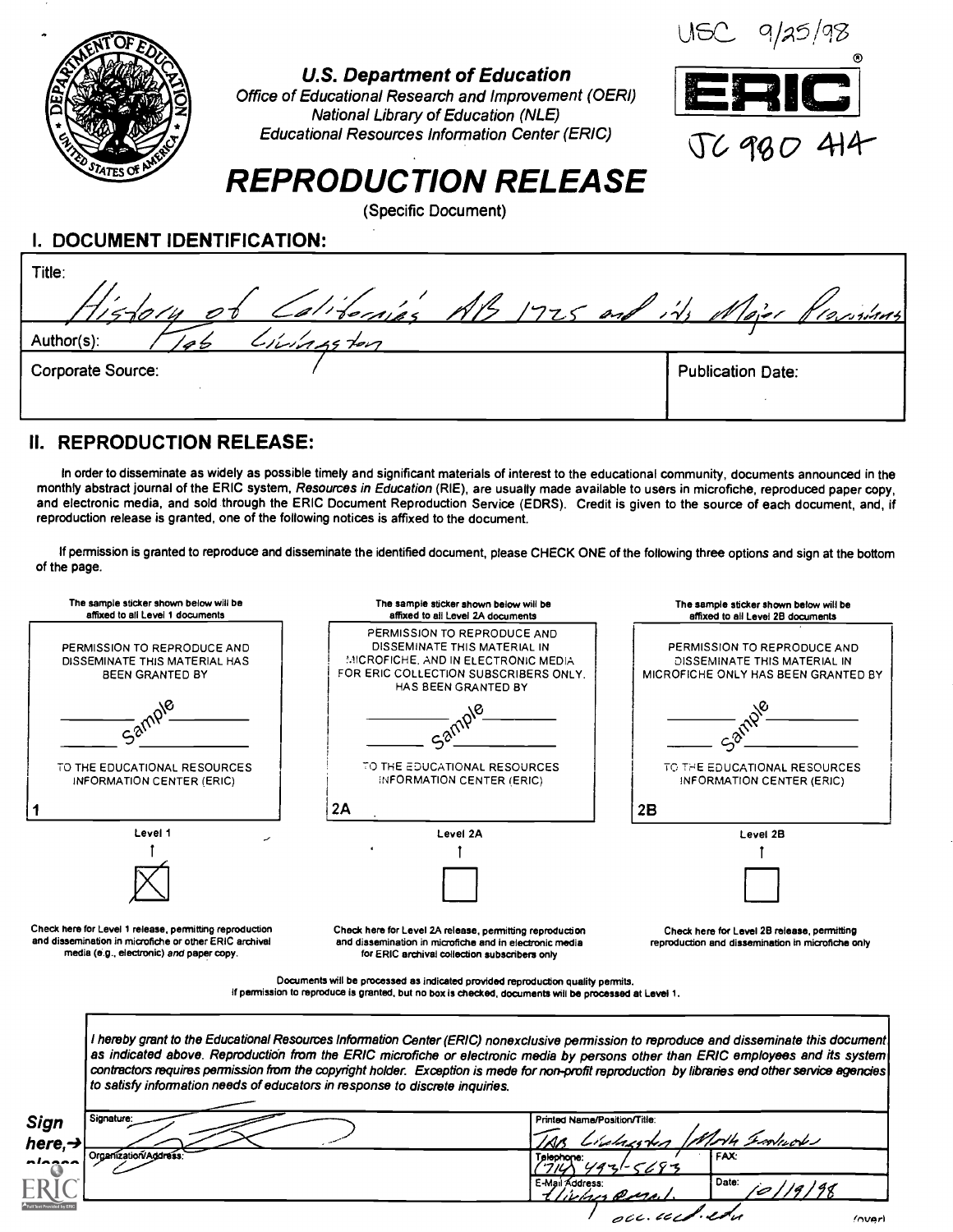

## U.S. Department of Education

Office of Educational Research and Improvement (OERI) National Library of Education (NLE) Educational Resources Information Center (ERIC)



# REPRODUCTION RELEASE

(Specific Document)

I. DOCUMENT IDENTIFICATION:

| Title:<br>Vistory of Californias AB 1725 and its Major Provisions |                          |
|-------------------------------------------------------------------|--------------------------|
| Civingston<br>Author(s):                                          |                          |
| <b>Corporate Source:</b>                                          | <b>Publication Date:</b> |

## II. REPRODUCTION RELEASE:

In order to disseminate as widely as possible timely and significant materials of interest to the educational community, documents announced in the monthly abstract journal of the ERIC system, Resources in Education (RIE), are usually made available to users in microfiche, reproduced paper copy, and electronic media, and sold through the ERIC Document Reproduction Service (EDRS). Credit is given to the source of each document, and, if reproduction release is granted, one of the following notices is affixed to the document.

If permission is granted to reproduce and disseminate the identified document, please CHECK ONE of the following three options and sign at the bottom of the page.

| The sample sticker shown below will be<br>affixed to all Level 1 documents                                                                                    | The sample sticker shown below will be<br>affixed to ail Level 2A documents                                                                                                                                                                                                                                                                                                                                                                                                                                       | The sample sticker shown below will be<br>affixed to all Level 2B documents                        |
|---------------------------------------------------------------------------------------------------------------------------------------------------------------|-------------------------------------------------------------------------------------------------------------------------------------------------------------------------------------------------------------------------------------------------------------------------------------------------------------------------------------------------------------------------------------------------------------------------------------------------------------------------------------------------------------------|----------------------------------------------------------------------------------------------------|
| PERMISSION TO REPRODUCE AND<br>DISSEMINATE THIS MATERIAL HAS<br><b>BEEN GRANTED BY</b>                                                                        | PERMISSION TO REPRODUCE AND<br>DISSEMINATE THIS MATERIAL IN<br>MICROFICHE, AND IN ELECTRONIC MEDIA<br>FOR ERIC COLLECTION SUBSCRIBERS ONLY.<br><b>HAS BEEN GRANTED BY</b>                                                                                                                                                                                                                                                                                                                                         | PERMISSION TO REPRODUCE AND<br>DISSEMINATE THIS MATERIAL IN<br>MICROFICHE ONLY HAS BEEN GRANTED BY |
| Samp-                                                                                                                                                         |                                                                                                                                                                                                                                                                                                                                                                                                                                                                                                                   |                                                                                                    |
| TO THE EDUCATIONAL RESOURCES<br>INFORMATION CENTER (ERIC)                                                                                                     | TO THE EDUCATIONAL RESOURCES<br>INFORMATION CENTER (ERIC)                                                                                                                                                                                                                                                                                                                                                                                                                                                         | TO THE EDUCATIONAL RESOURCES<br>INFORMATION CENTER (ERIC)                                          |
|                                                                                                                                                               | 2A                                                                                                                                                                                                                                                                                                                                                                                                                                                                                                                | 2B                                                                                                 |
| Level 1                                                                                                                                                       | Level 2A                                                                                                                                                                                                                                                                                                                                                                                                                                                                                                          | Level 2B                                                                                           |
|                                                                                                                                                               |                                                                                                                                                                                                                                                                                                                                                                                                                                                                                                                   |                                                                                                    |
|                                                                                                                                                               |                                                                                                                                                                                                                                                                                                                                                                                                                                                                                                                   |                                                                                                    |
| Check here for Level 1 release, permitting reproduction<br>and dissemination in microfiche or other ERIC archival<br>media (e.g., electronic) and paper copy. | Check here for Level 2A release, permitting reproduction<br>and dissemination in microfiche and in electronic media<br>for ERIC archival collection subscribers only                                                                                                                                                                                                                                                                                                                                              | Check here for Level 2B release, permitting<br>reproduction and dissemination in microfiche only   |
|                                                                                                                                                               | Documents will be processed as indicated provided reproduction quality permits.<br>If permission to reproduce is granted, but no box is checked, documents will be processed at Level 1.                                                                                                                                                                                                                                                                                                                          |                                                                                                    |
|                                                                                                                                                               | I hereby grant to the Educational Resources Information Center (ERIC) nonexclusive permission to reproduce and disseminate this document<br>as indicated above. Reproduction from the ERIC microfiche or electronic media by persons other than ERIC employees and its system<br>contractors requires permission from the copyright holder. Exception is mede for non-profit reproduction by libraries end other service agencies<br>to satisfy information needs of educators in response to discrete inquiries. |                                                                                                    |
| Signature:<br>Printed Name/Position/Title:<br><b>Sign</b>                                                                                                     |                                                                                                                                                                                                                                                                                                                                                                                                                                                                                                                   | H Import                                                                                           |
|                                                                                                                                                               |                                                                                                                                                                                                                                                                                                                                                                                                                                                                                                                   |                                                                                                    |
| here,→<br>Organization/Address                                                                                                                                | Telephone:<br>E-Mail Address:                                                                                                                                                                                                                                                                                                                                                                                                                                                                                     | <b>FAX:</b><br>Date:<br>ic   19   98                                                               |